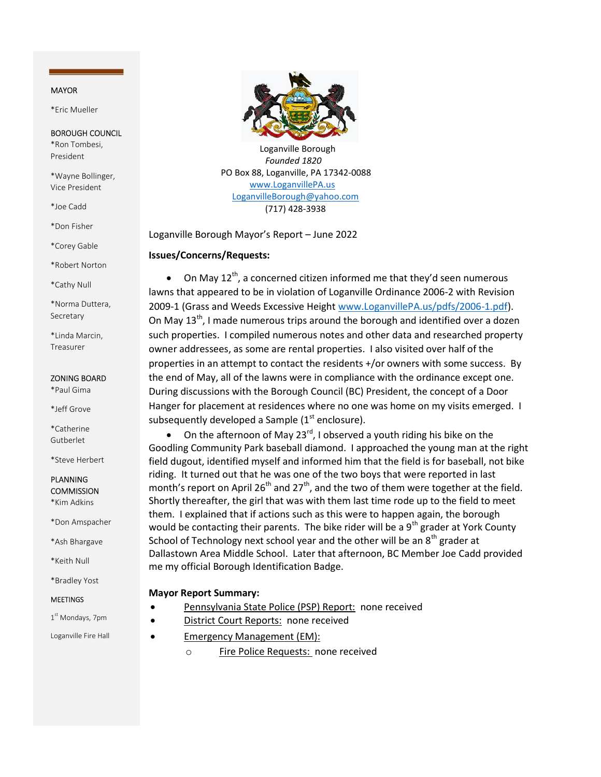## MAYOR

\*Eric Mueller

## BOROUGH COUNCIL

\*Ron Tombesi, President

\*Wayne Bollinger, Vice President

\*Joe Cadd

\*Don Fisher

\*Corey Gable

\*Robert Norton

\*Cathy Null

\*Norma Duttera, Secretary

\*Linda Marcin, Treasurer

### ZONING BOARD

\*Paul Gima

\*Jeff Grove

\*Catherine Gutberlet

\*Steve Herbert

# PLANNING **COMMISSION**

\*Kim Adkins

\*Don Amspacher

\*Ash Bhargave

\*Keith Null

\*Bradley Yost

#### MEETINGS

1st Mondays, 7pm

Loganville Fire Hall



 Loganville Borough Founded 1820 PO Box 88, Loganville, PA 17342-0088 www.LoganvillePA.us LoganvilleBorough@yahoo.com (717) 428-3938

Loganville Borough Mayor's Report – June 2022

## Issues/Concerns/Requests:

• On May  $12^{th}$ , a concerned citizen informed me that they'd seen numerous lawns that appeared to be in violation of Loganville Ordinance 2006-2 with Revision 2009-1 (Grass and Weeds Excessive Height www.LoganvillePA.us/pdfs/2006-1.pdf). On May 13<sup>th</sup>, I made numerous trips around the borough and identified over a dozen such properties. I compiled numerous notes and other data and researched property owner addressees, as some are rental properties. I also visited over half of the properties in an attempt to contact the residents +/or owners with some success. By the end of May, all of the lawns were in compliance with the ordinance except one. During discussions with the Borough Council (BC) President, the concept of a Door Hanger for placement at residences where no one was home on my visits emerged. I subsequently developed a Sample  $(1<sup>st</sup>$  enclosure).

• On the afternoon of May 23 $^{rd}$ , I observed a youth riding his bike on the Goodling Community Park baseball diamond. I approached the young man at the right field dugout, identified myself and informed him that the field is for baseball, not bike riding. It turned out that he was one of the two boys that were reported in last month's report on April 26<sup>th</sup> and 27<sup>th</sup>, and the two of them were together at the field. Shortly thereafter, the girl that was with them last time rode up to the field to meet them. I explained that if actions such as this were to happen again, the borough would be contacting their parents. The bike rider will be a  $9<sup>th</sup>$  grader at York County School of Technology next school year and the other will be an  $8<sup>th</sup>$  grader at Dallastown Area Middle School. Later that afternoon, BC Member Joe Cadd provided me my official Borough Identification Badge.

# Mayor Report Summary:

- Pennsylvania State Police (PSP) Report: none received
- District Court Reports: none received
- Emergency Management (EM):
	- o Fire Police Requests: none received